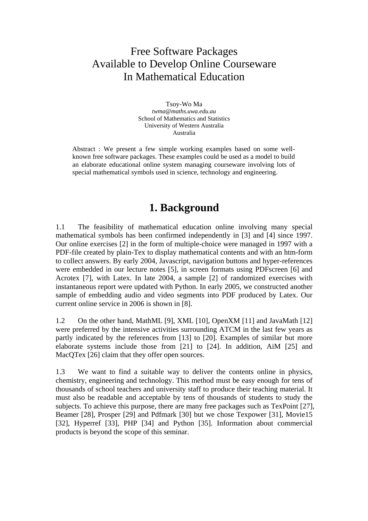## Free Software Packages Available to Develop Online Courseware In Mathematical Education

Tsoy-Wo Ma *twma@maths.uwa.edu.au*  School of Mathematics and Statistics University of Western Australia Australia

Abstract : We present a few simple working examples based on some wellknown free software packages. These examples could be used as a model to build an elaborate educational online system managing courseware involving lots of special mathematical symbols used in science, technology and engineering.

## **1. Background**

1.1 The feasibility of mathematical education online involving many special mathematical symbols has been confirmed independently in [3] and [4] since 1997. Our online exercises [2] in the form of multiple-choice were managed in 1997 with a PDF-file created by plain-Tex to display mathematical contents and with an htm-form to collect answers. By early 2004, Javascript, navigation buttons and hyper-references were embedded in our lecture notes [5], in screen formats using PDFscreen [6] and Acrotex [7], with Latex. In late 2004, a sample [2] of randomized exercises with instantaneous report were updated with Python. In early 2005, we constructed another sample of embedding audio and video segments into PDF produced by Latex. Our current online service in 2006 is shown in [8].

1.2 On the other hand, MathML [9], XML [10], OpenXM [11] and JavaMath [12] were preferred by the intensive activities surrounding ATCM in the last few years as partly indicated by the references from [13] to [20]. Examples of similar but more elaborate systems include those from [21] to [24]. In addition, AiM [25] and MacQTex [26] claim that they offer open sources.

1.3 We want to find a suitable way to deliver the contents online in physics, chemistry, engineering and technology. This method must be easy enough for tens of thousands of school teachers and university staff to produce their teaching material. It must also be readable and acceptable by tens of thousands of students to study the subjects. To achieve this purpose, there are many free packages such as TexPoint [27], Beamer [28], Prosper [29] and Pdfmark [30] but we chose Texpower [31], Movie15 [32], Hyperref [33], PHP [34] and Python [35]. Information about commercial products is beyond the scope of this seminar.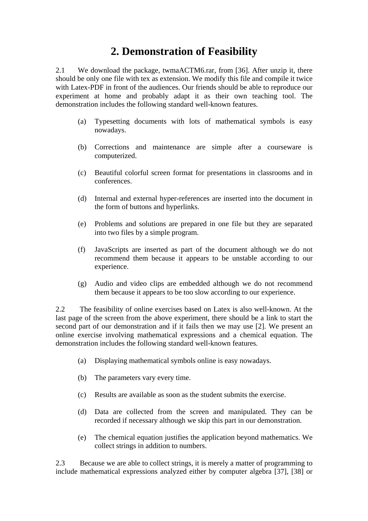# **2. Demonstration of Feasibility**

2.1 We download the package, twmaACTM6.rar, from [36]. After unzip it, there should be only one file with tex as extension. We modify this file and compile it twice with Latex-PDF in front of the audiences. Our friends should be able to reproduce our experiment at home and probably adapt it as their own teaching tool. The demonstration includes the following standard well-known features.

- (a) Typesetting documents with lots of mathematical symbols is easy nowadays.
- (b) Corrections and maintenance are simple after a courseware is computerized.
- (c) Beautiful colorful screen format for presentations in classrooms and in conferences.
- (d) Internal and external hyper-references are inserted into the document in the form of buttons and hyperlinks.
- (e) Problems and solutions are prepared in one file but they are separated into two files by a simple program.
- (f) JavaScripts are inserted as part of the document although we do not recommend them because it appears to be unstable according to our experience.
- (g) Audio and video clips are embedded although we do not recommend them because it appears to be too slow according to our experience.

2.2 The feasibility of online exercises based on Latex is also well-known. At the last page of the screen from the above experiment, there should be a link to start the second part of our demonstration and if it fails then we may use [2]. We present an online exercise involving mathematical expressions and a chemical equation. The demonstration includes the following standard well-known features.

- (a) Displaying mathematical symbols online is easy nowadays.
- (b) The parameters vary every time.
- (c) Results are available as soon as the student submits the exercise.
- (d) Data are collected from the screen and manipulated. They can be recorded if necessary although we skip this part in our demonstration.
- (e) The chemical equation justifies the application beyond mathematics. We collect strings in addition to numbers.

2.3 Because we are able to collect strings, it is merely a matter of programming to include mathematical expressions analyzed either by computer algebra [37], [38] or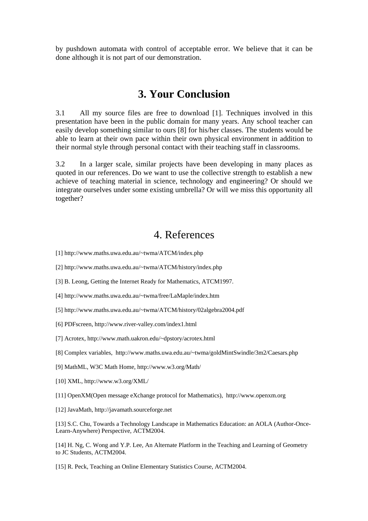by pushdown automata with control of acceptable error. We believe that it can be done although it is not part of our demonstration.

#### **3. Your Conclusion**

3.1 All my source files are free to download [1]. Techniques involved in this presentation have been in the public domain for many years. Any school teacher can easily develop something similar to ours [8] for his/her classes. The students would be able to learn at their own pace within their own physical environment in addition to their normal style through personal contact with their teaching staff in classrooms.

3.2 In a larger scale, similar projects have been developing in many places as quoted in our references. Do we want to use the collective strength to establish a new achieve of teaching material in science, technology and engineering? Or should we integrate ourselves under some existing umbrella? Or will we miss this opportunity all together?

## 4. References

- [1] http://www.maths.uwa.edu.au/~twma/ATCM/index.php
- [2] http://www.maths.uwa.edu.au/~twma/ATCM/history/index.php
- [3] B. Leong, Getting the Internet Ready for Mathematics, ATCM1997.
- [4] http://www.maths.uwa.edu.au/~twma/free/LaMaple/index.htm
- [5] http://www.maths.uwa.edu.au/~twma/ATCM/history/02algebra2004.pdf
- [6] PDFscreen, http://www.river-valley.com/index1.html
- [7] Acrotex, http://www.math.uakron.edu/~dpstory/acrotex.html
- [8] Complex variables, http://www.maths.uwa.edu.au/~twma/goldMintSwindle/3m2/Caesars.php
- [9] MathML, W3C Math Home, http://www.w3.org/Math/
- [10] XML, http://www.w3.org/XML/
- [11] OpenXM(Open message eXchange protocol for Mathematics), http://www.openxm.org
- [12] JavaMath, http://javamath.sourceforge.net

[13] S.C. Chu, Towards a Technology Landscape in Mathematics Education: an AOLA (Author-Once-Learn-Anywhere) Perspective, ACTM2004.

[14] H. Ng, C. Wong and Y.P. Lee, An Alternate Platform in the Teaching and Learning of Geometry to JC Students, ACTM2004.

[15] R. Peck, Teaching an Online Elementary Statistics Course, ACTM2004.